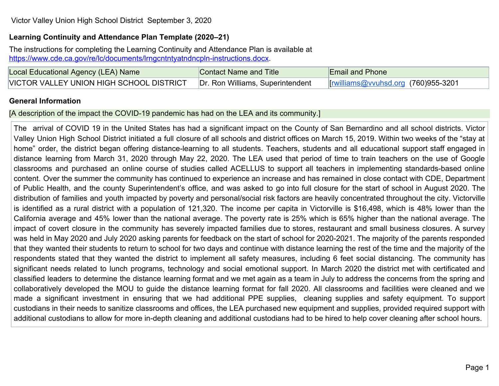# **Learning Continuity and Attendance Plan Template (2020–21)**

The instructions for completing the Learning Continuity and Attendance Plan is available at [https://www.cde.ca.gov/re/lc/documents/lrngcntntyatndncpln-instructions.docx.](https://www.cde.ca.gov/re/lc/documents/lrngcntntyatndncpln-instructions.docx)

| Local Educational Agency (LEA) Name      | Contact Name and Title           | <b>Email and Phone</b>                    |
|------------------------------------------|----------------------------------|-------------------------------------------|
| VICTOR VALLEY UNION HIGH SCHOOL DISTRICT | Dr. Ron Williams, Superintendent | <u>rwilliams@vvuhsd.org</u> (760)955-3201 |

# **General Information**

[A description of the impact the COVID-19 pandemic has had on the LEA and its community.]

The arrival of COVID 19 in the United States has had a significant impact on the County of San Bernardino and all school districts. Victor Valley Union High School District initiated a full closure of all schools and district offices on March 15, 2019. Within two weeks of the "stay at home" order, the district began offering distance-learning to all students. Teachers, students and all educational support staff engaged in distance learning from March 31, 2020 through May 22, 2020. The LEA used that period of time to train teachers on the use of Google classrooms and purchased an online course of studies called ACELLUS to support all teachers in implementing standards-based online content. Over the summer the community has continued to experience an increase and has remained in close contact with CDE, Department of Public Health, and the county Superintendent's office, and was asked to go into full closure for the start of school in August 2020. The distribution of families and youth impacted by poverty and personal/social risk factors are heavily concentrated throughout the city. Victorville is identified as a rural district with a population of 121,320. The income per capita in Victorville is \$16,498, which is 48% lower than the California average and 45% lower than the national average. The poverty rate is 25% which is 65% higher than the national average. The impact of covert closure in the community has severely impacted families due to stores, restaurant and small business closures. A survey was held in May 2020 and July 2020 asking parents for feedback on the start of school for 2020-2021. The majority of the parents responded that they wanted their students to return to school for two days and continue with distance learning the rest of the time and the majority of the respondents stated that they wanted the district to implement all safety measures, including 6 feet social distancing. The community has significant needs related to lunch programs, technology and social emotional support. In March 2020 the district met with certificated and classified leaders to determine the distance learning format and we met again as a team in July to address the concerns from the spring and collaboratively developed the MOU to guide the distance learning format for fall 2020. All classrooms and facilities were cleaned and we made a significant investment in ensuring that we had additional PPE supplies, cleaning supplies and safety equipment. To support custodians in their needs to sanitize classrooms and offices, the LEA purchased new equipment and supplies, provided required support with additional custodians to allow for more in-depth cleaning and additional custodians had to be hired to help cover cleaning after school hours.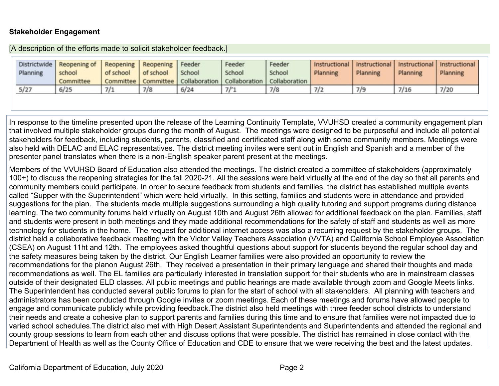## **Stakeholder Engagement**

| Planning | Districtwide   Reopening of   Reopening   Reopening   Feeder<br>school<br>Committee | of school | of school | School<br>Committee   Committee   Collaboration   Collaboration   Collaboration | Feeder<br>School | Feeder<br>School | Planning | Instructional Instructional Instructional Instructional<br>Planning | Planning | Planning |
|----------|-------------------------------------------------------------------------------------|-----------|-----------|---------------------------------------------------------------------------------|------------------|------------------|----------|---------------------------------------------------------------------|----------|----------|
| 5/27     | 6/25                                                                                | 7/1       | 7/8       | 6/24                                                                            | 7/1              | 7/8              | 7/2      | 7/9                                                                 | 7/16     | 7/20     |

[A description of the efforts made to solicit stakeholder feedback.]

In response to the timeline presented upon the release of the Learning Continuity Template, VVUHSD created a community engagement plan that involved multiple stakeholder groups during the month of August. The meetings were designed to be purposeful and include all potential stakeholders for feedback, including students, parents, classified and certificated staff along with some community members. Meetings were also held with DELAC and ELAC representatives. The district meeting invites were sent out in English and Spanish and a member of the presenter panel translates when there is a non-English speaker parent present at the meetings.

Members of the VVUHSD Board of Education also attended the meetings. The district created a committee of stakeholders (approximately 100+) to discuss the reopening strategies for the fall 2020-21. All the sessions were held virtually at the end of the day so that all parents and community members could participate. In order to secure feedback from students and families, the district has established multiple events called "Supper with the Superintendent" which were held virtually. In this setting, families and students were in attendance and provided suggestions for the plan. The students made multiple suggestions surrounding a high quality tutoring and support programs during distance learning. The two community forums held virtually on August 10th and August 26th allowed for additional feedback on the plan. Families, staff and students were present in both meetings and they made additional recommendations for the safety of staff and students as well as more technology for students in the home. The request for additional internet access was also a recurring request by the stakeholder groups. The district held a collaborative feedback meeting with the Victor Valley Teachers Association (VVTA) and California School Employee Association (CSEA) on August 11ht and 12th. The employees asked thoughtful questions about support for students beyond the regular school day and the safety measures being taken by the district. Our English Learner families were also provided an opportunity to review the recommendations for the planon August 26th. They received a presentation in their primary language and shared their thoughts and made recommendations as well. The EL families are particularly interested in translation support for their students who are in mainstream classes outside of their designated ELD classes. All public meetings and public hearings are made available through zoom and Google Meets links. The Superintendent has conducted several public forums to plan for the start of school with all stakeholders. All planning with teachers and administrators has been conducted through Google invites or zoom meetings. Each of these meetings and forums have allowed people to engage and communicate publicly while providing feedback.The district also held meetings with three feeder school districts to understand their needs and create a cohesive plan to support parents and families during this time and to ensure that families were not impacted due to varied school schedules.The district also met with High Desert Assistant Superintendents and Superintendents and attended the regional and county group sessions to learn from each other and discuss options that were possible. The district has remained in close contact with the Department of Health as well as the County Office of Education and CDE to ensure that we were receiving the best and the latest updates.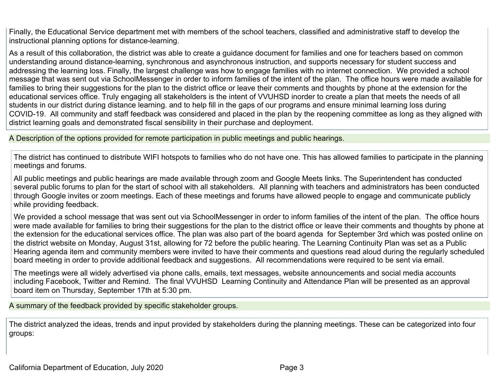Finally, the Educational Service department met with members of the school teachers, classified and administrative staff to develop the instructional planning options for distance-learning.

As a result of this collaboration, the district was able to create a guidance document for families and one for teachers based on common understanding around distance-learning, synchronous and asynchronous instruction, and supports necessary for student success and addressing the learning loss. Finally, the largest challenge was how to engage families with no internet connection. We provided a school message that was sent out via SchoolMessenger in order to inform families of the intent of the plan. The office hours were made available for families to bring their suggestions for the plan to the district office or leave their comments and thoughts by phone at the extension for the educational services office. Truly engaging all stakeholders is the intent of VVUHSD inorder to create a plan that meets the needs of all students in our district during distance learning. and to help fill in the gaps of our programs and ensure minimal learning loss during COVID-19. All community and staff feedback was considered and placed in the plan by the reopening committee as long as they aligned with district learning goals and demonstrated fiscal sensibility in their purchase and deployment.

A Description of the options provided for remote participation in public meetings and public hearings.

The district has continued to distribute WIFI hotspots to families who do not have one. This has allowed families to participate in the planning meetings and forums.

All public meetings and public hearings are made available through zoom and Google Meets links. The Superintendent has conducted several public forums to plan for the start of school with all stakeholders. All planning with teachers and administrators has been conducted through Google invites or zoom meetings. Each of these meetings and forums have allowed people to engage and communicate publicly while providing feedback.

We provided a school message that was sent out via SchoolMessenger in order to inform families of the intent of the plan. The office hours were made available for families to bring their suggestions for the plan to the district office or leave their comments and thoughts by phone at the extension for the educational services office. The plan was also part of the board agenda for September 3rd which was posted online on the district website on Monday, August 31st, allowing for 72 before the public hearing. The Learning Continuity Plan was set as a Public Hearing agenda item and community members were invited to have their comments and questions read aloud during the regularly scheduled board meeting in order to provide additional feedback and suggestions. All recommendations were required to be sent via email.

The meetings were all widely advertised via phone calls, emails, text messages, website announcements and social media accounts including Facebook, Twitter and Remind. The final VVUHSD Learning Continuity and Attendance Plan will be presented as an approval board item on Thursday, September 17th at 5:30 pm.

A summary of the feedback provided by specific stakeholder groups.

The district analyzed the ideas, trends and input provided by stakeholders during the planning meetings. These can be categorized into four groups: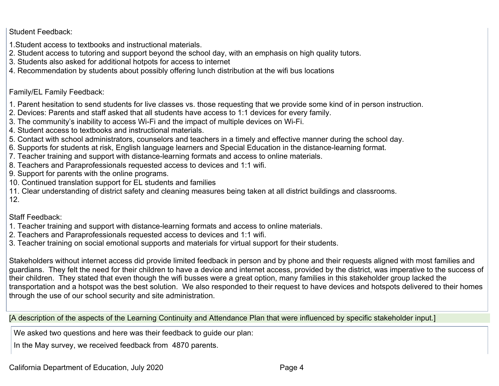Student Feedback:

- 1.Student access to textbooks and instructional materials.
- 2. Student access to tutoring and support beyond the school day, with an emphasis on high quality tutors.
- 3. Students also asked for additional hotpots for access to internet
- 4. Recommendation by students about possibly offering lunch distribution at the wifi bus locations

# Family/EL Family Feedback:

- 1. Parent hesitation to send students for live classes vs. those requesting that we provide some kind of in person instruction.
- 2. Devices: Parents and staff asked that all students have access to 1:1 devices for every family.
- 3. The community's inability to access Wi-Fi and the impact of multiple devices on Wi-Fi.
- 4. Student access to textbooks and instructional materials.
- 5. Contact with school administrators, counselors and teachers in a timely and effective manner during the school day.
- 6. Supports for students at risk, English language learners and Special Education in the distance-learning format.
- 7. Teacher training and support with distance-learning formats and access to online materials.
- 8. Teachers and Paraprofessionals requested access to devices and 1:1 wifi.
- 9. Support for parents with the online programs.
- 10. Continued translation support for EL students and families
- 11. Clear understanding of district safety and cleaning measures being taken at all district buildings and classrooms. 12.

# Staff Feedback:

- 1. Teacher training and support with distance-learning formats and access to online materials.
- 2. Teachers and Paraprofessionals requested access to devices and 1:1 wifi.
- 3. Teacher training on social emotional supports and materials for virtual support for their students.

Stakeholders without internet access did provide limited feedback in person and by phone and their requests aligned with most families and guardians. They felt the need for their children to have a device and internet access, provided by the district, was imperative to the success of their children. They stated that even though the wifi busses were a great option, many families in this stakeholder group lacked the transportation and a hotspot was the best solution. We also responded to their request to have devices and hotspots delivered to their homes through the use of our school security and site administration.

[A description of the aspects of the Learning Continuity and Attendance Plan that were influenced by specific stakeholder input.]

We asked two questions and here was their feedback to guide our plan:

In the May survey, we received feedback from 4870 parents.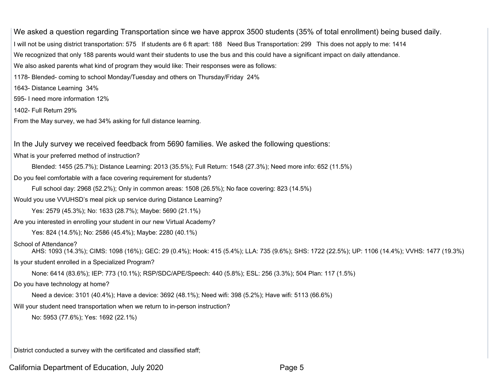We asked a question regarding Transportation since we have approx 3500 students (35% of total enrollment) being bused daily. I will not be using district transportation: 575 If students are 6 ft apart: 188 Need Bus Transportation: 299 This does not apply to me: 1414 We recognized that only 188 parents would want their students to use the bus and this could have a significant impact on daily attendance. We also asked parents what kind of program they would like: Their responses were as follows: 1178- Blended- coming to school Monday/Tuesday and others on Thursday/Friday 24% 1643- Distance Learning 34% 595- I need more information 12% 1402- Full Return 29% From the May survey, we had 34% asking for full distance learning. In the July survey we received feedback from 5690 families. We asked the following questions:

What is your preferred method of instruction?

Blended: 1455 (25.7%); Distance Learning: 2013 (35.5%); Full Return: 1548 (27.3%); Need more info: 652 (11.5%)

Do you feel comfortable with a face covering requirement for students?

Full school day: 2968 (52.2%); Only in common areas: 1508 (26.5%); No face covering: 823 (14.5%)

Would you use VVUHSD's meal pick up service during Distance Learning?

Yes: 2579 (45.3%); No: 1633 (28.7%); Maybe: 5690 (21.1%)

Are you interested in enrolling your student in our new Virtual Academy?

Yes: 824 (14.5%); No: 2586 (45.4%); Maybe: 2280 (40.1%)

#### School of Attendance?

AHS: 1093 (14.3%); CIMS: 1098 (16%); GEC: 29 (0.4%); Hook: 415 (5.4%); LLA: 735 (9.6%); SHS: 1722 (22.5%); UP: 1106 (14.4%); VVHS: 1477 (19.3%) Is your student enrolled in a Specialized Program?

None: 6414 (83.6%); IEP: 773 (10.1%); RSP/SDC/APE/Speech: 440 (5.8%); ESL: 256 (3.3%); 504 Plan: 117 (1.5%)

Do you have technology at home?

Need a device: 3101 (40.4%); Have a device: 3692 (48.1%); Need wifi: 398 (5.2%); Have wifi: 5113 (66.6%)

Will your student need transportation when we return to in-person instruction?

No: 5953 (77.6%); Yes: 1692 (22.1%)

District conducted a survey with the certificated and classified staff;

California Department of Education, July 2020 **Page 5** Page 5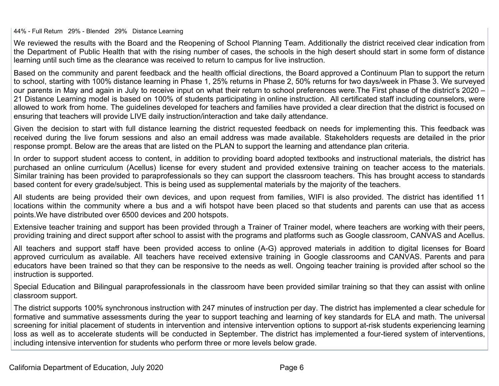### 44% - Full Return 29% - Blended 29% Distance Learning

We reviewed the results with the Board and the Reopening of School Planning Team. Additionally the district received clear indication from the Department of Public Health that with the rising number of cases, the schools in the high desert should start in some form of distance learning until such time as the clearance was received to return to campus for live instruction.

Based on the community and parent feedback and the health official directions, the Board approved a Continuum Plan to support the return to school, starting with 100% distance learning in Phase 1, 25% returns in Phase 2, 50% returns for two days/week in Phase 3. We surveyed our parents in May and again in July to receive input on what their return to school preferences were.The First phase of the district's 2020 – 21 Distance Learning model is based on 100% of students participating in online instruction. All certificated staff including counselors, were allowed to work from home. The guidelines developed for teachers and families have provided a clear direction that the district is focused on ensuring that teachers will provide LIVE daily instruction/interaction and take daily attendance.

Given the decision to start with full distance learning the district requested feedback on needs for implementing this. This feedback was received during the live forum sessions and also an email address was made available. Stakeholders requests are detailed in the prior response prompt. Below are the areas that are listed on the PLAN to support the learning and attendance plan criteria.

In order to support student access to content, in addition to providing board adopted textbooks and instructional materials, the district has purchased an online curriculum (Acellus) license for every student and provided extensive training on teacher access to the materials. Similar training has been provided to paraprofessionals so they can support the classroom teachers. This has brought access to standards based content for every grade/subject. This is being used as supplemental materials by the majority of the teachers.

All students are being provided their own devices, and upon request from families, WIFI is also provided. The district has identified 11 locations within the community where a bus and a wifi hotspot have been placed so that students and parents can use that as access points.We have distributed over 6500 devices and 200 hotspots.

Extensive teacher training and support has been provided through a Trainer of Trainer model, where teachers are working with their peers, providing training and direct support after school to assist with the programs and platforms such as Google classroom, CANVAS and Acellus.

All teachers and support staff have been provided access to online (A-G) approved materials in addition to digital licenses for Board approved curriculum as available. All teachers have received extensive training in Google classrooms and CANVAS. Parents and para educators have been trained so that they can be responsive to the needs as well. Ongoing teacher training is provided after school so the instruction is supported.

Special Education and Bilingual paraprofessionals in the classroom have been provided similar training so that they can assist with online classroom support.

The district supports 100% synchronous instruction with 247 minutes of instruction per day. The district has implemented a clear schedule for formative and summative assessments during the year to support teaching and learning of key standards for ELA and math. The universal screening for initial placement of students in intervention and intensive intervention options to support at-risk students experiencing learning loss as well as to accelerate students will be conducted in September. The district has implemented a four-tiered system of interventions, including intensive intervention for students who perform three or more levels below grade.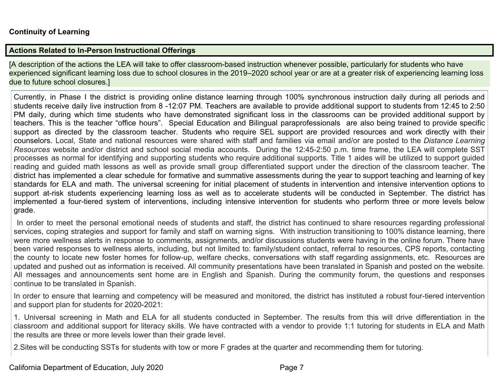# **Actions Related to In-Person Instructional Offerings**

[A description of the actions the LEA will take to offer classroom-based instruction whenever possible, particularly for students who have experienced significant learning loss due to school closures in the 2019–2020 school year or are at a greater risk of experiencing learning loss due to future school closures.]

Currently, in Phase I the district is providing online distance learning through 100% synchronous instruction daily during all periods and students receive daily live instruction from 8 -12:07 PM. Teachers are available to provide additional support to students from 12:45 to 2:50 PM daily, during which time students who have demonstrated significant loss in the classrooms can be provided additional support by teachers. This is the teacher "office hours". Special Education and Bilingual paraprofessionals are also being trained to provide specific support as directed by the classroom teacher. Students who require SEL support are provided resources and work directly with their counselors. Local, State and national resources were shared with staff and families via email and/or are posted to the *Distance Learning Resources* website and/or district and school social media accounts. During the 12:45-2:50 p.m. time frame, the LEA will complete SST processes as normal for identifying and supporting students who require additional supports. Title 1 aides will be utilized to support guided reading and guided math lessons as well as provide small group differentiated support under the direction of the classroom teacher. The district has implemented a clear schedule for formative and summative assessments during the year to support teaching and learning of key standards for ELA and math. The universal screening for initial placement of students in intervention and intensive intervention options to support at-risk students experiencing learning loss as well as to accelerate students will be conducted in September. The district has implemented a four-tiered system of interventions, including intensive intervention for students who perform three or more levels below grade.

In order to meet the personal emotional needs of students and staff, the district has continued to share resources regarding professional services, coping strategies and support for family and staff on warning signs. With instruction transitioning to 100% distance learning, there were more wellness alerts in response to comments, assignments, and/or discussions students were having in the online forum. There have been varied responses to wellness alerts, including, but not limited to: family/student contact, referral to resources, CPS reports, contacting the county to locate new foster homes for follow-up, welfare checks, conversations with staff regarding assignments, etc. Resources are updated and pushed out as information is received. All community presentations have been translated in Spanish and posted on the website. All messages and announcements sent home are in English and Spanish. During the community forum, the questions and responses continue to be translated in Spanish.

In order to ensure that learning and competency will be measured and monitored, the district has instituted a robust four-tiered intervention and support plan for students for 2020-2021:

1. Universal screening in Math and ELA for all students conducted in September. The results from this will drive differentiation in the classroom and additional support for literacy skills. We have contracted with a vendor to provide 1:1 tutoring for students in ELA and Math the results are three or more levels lower than their grade level.

2.Sites will be conducting SSTs for students with tow or more F grades at the quarter and recommending them for tutoring.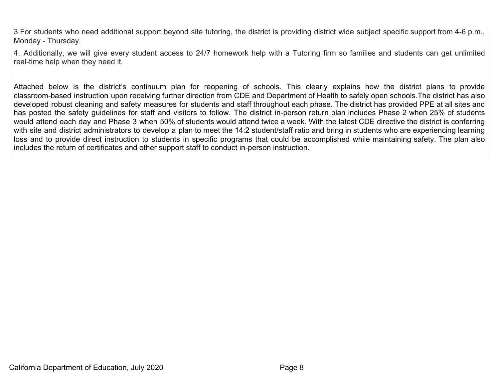3.For students who need additional support beyond site tutoring, the district is providing district wide subject specific support from 4-6 p.m., Monday - Thursday.

4. Additionally, we will give every student access to 24/7 homework help with a Tutoring firm so families and students can get unlimited real-time help when they need it.

Attached below is the district's continuum plan for reopening of schools. This clearly explains how the district plans to provide classroom-based instruction upon receiving further direction from CDE and Department of Health to safely open schools.The district has also developed robust cleaning and safety measures for students and staff throughout each phase. The district has provided PPE at all sites and has posted the safety guidelines for staff and visitors to follow. The district in-person return plan includes Phase 2 when 25% of students would attend each day and Phase 3 when 50% of students would attend twice a week. With the latest CDE directive the district is conferring with site and district administrators to develop a plan to meet the 14:2 student/staff ratio and bring in students who are experiencing learning loss and to provide direct instruction to students in specific programs that could be accomplished while maintaining safety. The plan also includes the return of certificates and other support staff to conduct in-person instruction.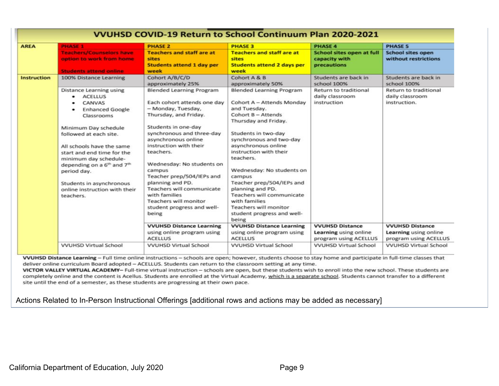| <b>AREA</b>        | <b>PHASE 1</b>                                                                                                                                                                                                                                                                                                                                                                               | <b>PHASE 2</b>                                                                                                                                                                                                                                                                                                                                                                                                                                                                                                                  | <b>PHASE 3</b>                                                                                                                                                                                                                                                                                                                                                                                                                                                                                                                             | <b>PHASE 4</b>                                                                                                                      | <b>PHASE 5</b>                                                                                                                       |
|--------------------|----------------------------------------------------------------------------------------------------------------------------------------------------------------------------------------------------------------------------------------------------------------------------------------------------------------------------------------------------------------------------------------------|---------------------------------------------------------------------------------------------------------------------------------------------------------------------------------------------------------------------------------------------------------------------------------------------------------------------------------------------------------------------------------------------------------------------------------------------------------------------------------------------------------------------------------|--------------------------------------------------------------------------------------------------------------------------------------------------------------------------------------------------------------------------------------------------------------------------------------------------------------------------------------------------------------------------------------------------------------------------------------------------------------------------------------------------------------------------------------------|-------------------------------------------------------------------------------------------------------------------------------------|--------------------------------------------------------------------------------------------------------------------------------------|
|                    | <b>Teachers/Counselors have</b><br>option to work from home<br><b>Students attend online</b>                                                                                                                                                                                                                                                                                                 | <b>Teachers and staff are at</b><br>sites<br><b>Students attend 1 day per</b><br>week                                                                                                                                                                                                                                                                                                                                                                                                                                           | <b>Teachers and staff are at</b><br>sites<br><b>Students attend 2 days per</b><br>week                                                                                                                                                                                                                                                                                                                                                                                                                                                     | School sites open at full<br>capacity with<br>precautions                                                                           | <b>School sites open</b><br>without restrictions                                                                                     |
| <b>Instruction</b> | 100% Distance Learning                                                                                                                                                                                                                                                                                                                                                                       | Cohort A/B/C/D<br>approximately 25%                                                                                                                                                                                                                                                                                                                                                                                                                                                                                             | Cohort A & B<br>approximately 50%                                                                                                                                                                                                                                                                                                                                                                                                                                                                                                          | Students are back in<br>school 100%                                                                                                 | Students are back in<br>school 100%                                                                                                  |
|                    | <b>Distance Learning using</b><br><b>ACELLUS</b><br>٠<br>CANVAS<br><b>Enhanced Google</b><br>Classrooms<br>Minimum Day schedule<br>followed at each site.<br>All schools have the same<br>start and end time for the<br>minimum day schedule-<br>depending on a 6 <sup>th</sup> and 7 <sup>th</sup><br>period day.<br>Students in asynchronous<br>online instruction with their<br>teachers. | <b>Blended Learning Program</b><br>Each cohort attends one day<br>- Monday, Tuesday,<br>Thursday, and Friday.<br>Students in one-day<br>synchronous and three-day<br>asynchronous online<br>instruction with their<br>teachers.<br>Wednesday: No students on<br>campus<br>Teacher prep/504/IEPs and<br>planning and PD.<br>Teachers will communicate<br>with families<br><b>Teachers will monitor</b><br>student progress and well-<br>being<br><b>VVUHSD Distance Learning</b><br>using online program using<br><b>ACELLUS</b> | <b>Blended Learning Program</b><br>Cohort A - Attends Monday<br>and Tuesday.<br>Cohort B - Attends<br>Thursday and Friday.<br>Students in two-day<br>synchronous and two-day<br>asynchronous online<br>instruction with their<br>teachers.<br>Wednesday: No students on<br>campus<br>Teacher prep/504/IEPs and<br>planning and PD.<br>Teachers will communicate<br>with families<br><b>Teachers will monitor</b><br>student progress and well-<br>being<br><b>VVUHSD Distance Learning</b><br>using online program using<br><b>ACELLUS</b> | Return to traditional<br>daily classroom<br>instruction<br><b>VVUHSD Distance</b><br>Learning using online<br>program using ACELLUS | Return to traditional<br>daily classroom<br>instruction.<br><b>VVUHSD Distance</b><br>Learning using online<br>program using ACELLUS |

VVUHSD Distance Learning - Full time online instructions - schools are open; however, students choose to stay home and participate in full-time classes that deliver online curriculum Board adopted - ACELLUS. Students can return to the classroom setting at any time.

VICTOR VALLEY VIRTUAL ACADEMY- Full-time virtual instruction - schools are open, but these students wish to enroll into the new school. These students are completely online and the content is Acellus. Students are enrolled at the Virtual Academy, which is a separate school. Students cannot transfer to a different site until the end of a semester, as these students are progressing at their own pace.

Actions Related to In-Person Instructional Offerings [additional rows and actions may be added as necessary]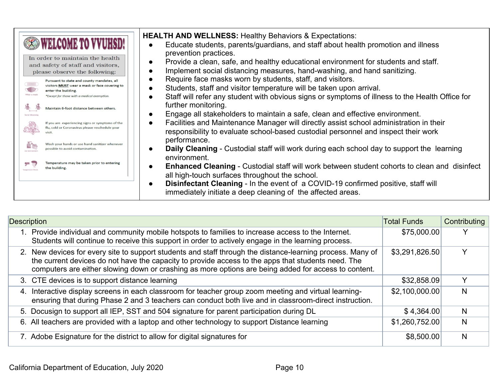|                   | <b>WELCOME TO VVUHSD!</b><br>In order to maintain the health<br>and safety of staff and visitors,<br>please observe the following:                                | <b>HEALTH AND WELLNESS: Healthy Behaviors &amp; Expectations:</b><br>Educate students, parents/guardians, and staff about health promotion and illness<br>$\bullet$<br>prevention practices.<br>Provide a clean, safe, and healthy educational environment for students and staff.<br>$\bullet$<br>Implement social distancing measures, hand-washing, and hand sanitizing.<br>$\bullet$ |
|-------------------|-------------------------------------------------------------------------------------------------------------------------------------------------------------------|------------------------------------------------------------------------------------------------------------------------------------------------------------------------------------------------------------------------------------------------------------------------------------------------------------------------------------------------------------------------------------------|
| Wear a mask       | Pursuant to state and county mandates, all<br>visitors MUST wear a mask or face covering to<br>enter the building.<br>*Except for those with a medical exemption. | Require face masks worn by students, staff, and visitors.<br>$\bullet$<br>Students, staff and visitor temperature will be taken upon arrival.<br>$\bullet$<br>Staff will refer any student with obvious signs or symptoms of illness to the Health Office for                                                                                                                            |
| Social distancin  | Maintain 6-foot distance between others.                                                                                                                          | further monitoring.<br>Engage all stakeholders to maintain a safe, clean and effective environment.<br>$\bullet$                                                                                                                                                                                                                                                                         |
|                   | If you are experiencing signs or symptoms of the<br>flu, cold or Coronavirus please reschedule your                                                               | Facilities and Maintenance Manager will directly assist school administration in their<br>$\bullet$<br>responsibility to evaluate school-based custodial personnel and inspect their work<br>performance.                                                                                                                                                                                |
| be hand sentiteen | Wash your hands or use hand sanitizer whenever<br>possible to avoid contamination<br>Temperature may be taken prior to entering                                   | <b>Daily Cleaning</b> - Custodial staff will work during each school day to support the learning<br>$\bullet$<br>environment.                                                                                                                                                                                                                                                            |
| emperature Check  | the building.                                                                                                                                                     | <b>Enhanced Cleaning - Custodial staff will work between student cohorts to clean and disinfect</b><br>$\bullet$<br>all high-touch surfaces throughout the school.<br>Disinfectant Cleaning - In the event of a COVID-19 confirmed positive, staff will<br>$\bullet$<br>immediately initiate a deep cleaning of the affected areas.                                                      |

| <b>Description</b>                                                                                                                                                                                                                                                                                                       | <b>Total Funds</b><br>Contributing |              |  |  |  |
|--------------------------------------------------------------------------------------------------------------------------------------------------------------------------------------------------------------------------------------------------------------------------------------------------------------------------|------------------------------------|--------------|--|--|--|
| 1. Provide individual and community mobile hotspots to families to increase access to the Internet.<br>Students will continue to receive this support in order to actively engage in the learning process.                                                                                                               | \$75,000.00                        |              |  |  |  |
| 2. New devices for every site to support students and staff through the distance-learning process. Many of<br>the current devices do not have the capacity to provide access to the apps that students need. The<br>computers are either slowing down or crashing as more options are being added for access to content. | \$3,291,826.50                     | $\checkmark$ |  |  |  |
| 3. CTE devices is to support distance learning                                                                                                                                                                                                                                                                           | \$32,858.09                        |              |  |  |  |
| Interactive display screens in each classroom for teacher group zoom meeting and virtual learning-<br>4.<br>ensuring that during Phase 2 and 3 teachers can conduct both live and in classroom-direct instruction.                                                                                                       | \$2,100,000.00                     | N            |  |  |  |
| 5. Docusign to support all IEP, SST and 504 signature for parent participation during DL                                                                                                                                                                                                                                 | \$4,364.00                         | N            |  |  |  |
| 6. All teachers are provided with a laptop and other technology to support Distance learning                                                                                                                                                                                                                             | \$1,260,752.00                     | N            |  |  |  |
| 7. Adobe Esignature for the district to allow for digital signatures for                                                                                                                                                                                                                                                 | \$8,500.00                         | N            |  |  |  |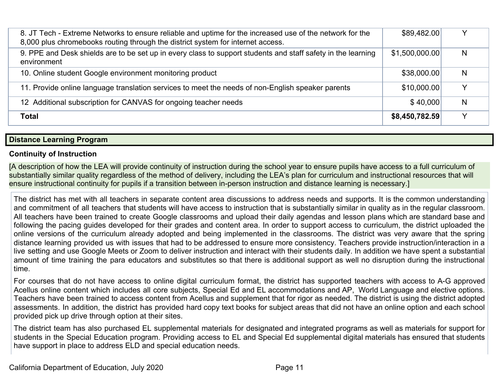| 8. JT Tech - Extreme Networks to ensure reliable and uptime for the increased use of the network for the<br>8,000 plus chromebooks routing through the district system for internet access. | \$89,482.00    |   |
|---------------------------------------------------------------------------------------------------------------------------------------------------------------------------------------------|----------------|---|
| 9. PPE and Desk shields are to be set up in every class to support students and staff safety in the learning<br>environment                                                                 | \$1,500,000.00 | N |
| 10. Online student Google environment monitoring product                                                                                                                                    | \$38,000.00    | N |
| 11. Provide online language translation services to meet the needs of non-English speaker parents                                                                                           | \$10,000.00    | ν |
| 12 Additional subscription for CANVAS for ongoing teacher needs                                                                                                                             | \$40,000       | N |
| <b>Total</b>                                                                                                                                                                                | \$8,450,782.59 |   |

## **Distance Learning Program**

### **Continuity of Instruction**

[A description of how the LEA will provide continuity of instruction during the school year to ensure pupils have access to a full curriculum of substantially similar quality regardless of the method of delivery, including the LEA's plan for curriculum and instructional resources that will ensure instructional continuity for pupils if a transition between in-person instruction and distance learning is necessary.]

The district has met with all teachers in separate content area discussions to address needs and supports. It is the common understanding and commitment of all teachers that students will have access to instruction that is substantially similar in quality as in the regular classroom. All teachers have been trained to create Google classrooms and upload their daily agendas and lesson plans which are standard base and following the pacing guides developed for their grades and content area. In order to support access to curriculum, the district uploaded the online versions of the curriculum already adopted and being implemented in the classrooms. The district was very aware that the spring distance learning provided us with issues that had to be addressed to ensure more consistency. Teachers provide instruction/interaction in a live setting and use Google Meets or Zoom to deliver instruction and interact with their students daily. In addition we have spent a substantial amount of time training the para educators and substitutes so that there is additional support as well no disruption during the instructional time.

For courses that do not have access to online digital curriculum format, the district has supported teachers with access to A-G approved Acellus online content which includes all core subjects, Special Ed and EL accommodations and AP, World Language and elective options. Teachers have been trained to access content from Acellus and supplement that for rigor as needed. The district is using the district adopted assessments. In addition, the district has provided hard copy text books for subject areas that did not have an online option and each school provided pick up drive through option at their sites.

The district team has also purchased EL supplemental materials for designated and integrated programs as well as materials for support for students in the Special Education program. Providing access to EL and Special Ed supplemental digital materials has ensured that students have support in place to address ELD and special education needs.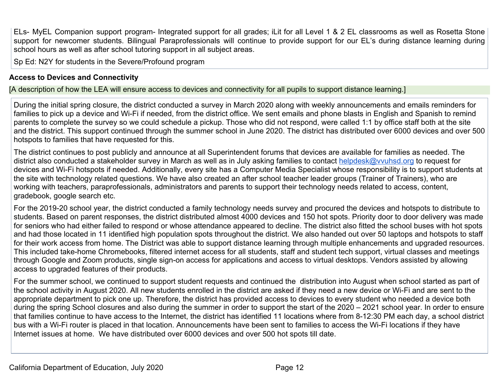ELs- MyEL Companion support program- Integrated support for all grades; iLit for all Level 1 & 2 EL classrooms as well as Rosetta Stone support for newcomer students. Bilingual Paraprofessionals will continue to provide support for our EL's during distance learning during school hours as well as after school tutoring support in all subject areas.

Sp Ed: N2Y for students in the Severe/Profound program

## **Access to Devices and Connectivity**

[A description of how the LEA will ensure access to devices and connectivity for all pupils to support distance learning.]

During the initial spring closure, the district conducted a survey in March 2020 along with weekly announcements and emails reminders for families to pick up a device and Wi-Fi if needed, from the district office. We sent emails and phone blasts in English and Spanish to remind parents to complete the survey so we could schedule a pickup. Those who did not respond, were called 1:1 by office staff both at the site and the district. This support continued through the summer school in June 2020. The district has distributed over 6000 devices and over 500 hotspots to families that have requested for this.

The district continues to post publicly and announce at all Superintendent forums that devices are available for families as needed. The district also conducted a stakeholder survey in March as well as in July asking families to contact [helpdesk@vvuhsd.org](mailto:helpdesk@bvuhst.net) to request for devices and Wi-Fi hotspots if needed. Additionally, every site has a Computer Media Specialist whose responsibility is to support students at the site with technology related questions. We have also created an after school teacher leader groups (Trainer of Trainers), who are working with teachers, paraprofessionals, administrators and parents to support their technology needs related to access, content, gradebook, google search etc.

For the 2019-20 school year, the district conducted a family technology needs survey and procured the devices and hotspots to distribute to students. Based on parent responses, the district distributed almost 4000 devices and 150 hot spots. Priority door to door delivery was made for seniors who had either failed to respond or whose attendance appeared to decline. The district also fitted the school buses with hot spots and had those located in 11 identified high population spots throughout the district. We also handed out over 50 laptops and hotspots to staff for their work access from home. The District was able to support distance learning through multiple enhancements and upgraded resources. This included take-home Chromebooks, filtered internet access for all students, staff and student tech support, virtual classes and meetings through Google and Zoom products, single sign-on access for applications and access to virtual desktops. Vendors assisted by allowing access to upgraded features of their products.

For the summer school, we continued to support student requests and continued the distribution into August when school started as part of the school activity in August 2020. All new students enrolled in the district are asked if they need a new device or Wi-Fi and are sent to the appropriate department to pick one up. Therefore, the district has provided access to devices to every student who needed a device both during the spring School closures and also during the summer in order to support the start of the 2020 – 2021 school year. In order to ensure that families continue to have access to the Internet, the district has identified 11 locations where from 8-12:30 PM each day, a school district bus with a Wi-Fi router is placed in that location. Announcements have been sent to families to access the Wi-Fi locations if they have Internet issues at home. We have distributed over 6000 devices and over 500 hot spots till date.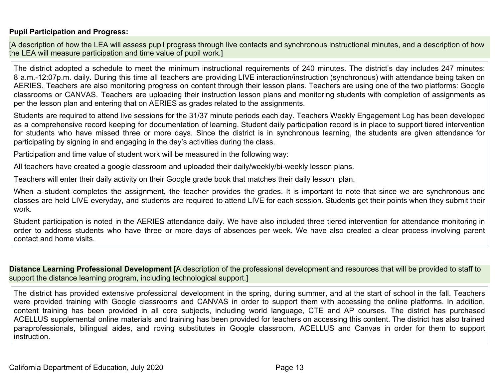### **Pupil Participation and Progress:**

[A description of how the LEA will assess pupil progress through live contacts and synchronous instructional minutes, and a description of how the LEA will measure participation and time value of pupil work.]

The district adopted a schedule to meet the minimum instructional requirements of 240 minutes. The district's day includes 247 minutes: 8 a.m.-12:07p.m. daily. During this time all teachers are providing LIVE interaction/instruction (synchronous) with attendance being taken on AERIES. Teachers are also monitoring progress on content through their lesson plans. Teachers are using one of the two platforms: Google classrooms or CANVAS. Teachers are uploading their instruction lesson plans and monitoring students with completion of assignments as per the lesson plan and entering that on AERIES as grades related to the assignments.

Students are required to attend live sessions for the 31/37 minute periods each day. Teachers Weekly Engagement Log has been developed as a comprehensive record keeping for documentation of learning. Student daily participation record is in place to support tiered intervention for students who have missed three or more days. Since the district is in synchronous learning, the students are given attendance for participating by signing in and engaging in the day's activities during the class.

Participation and time value of student work will be measured in the following way:

All teachers have created a google classroom and uploaded their daily/weekly/bi-weekly lesson plans.

Teachers will enter their daily activity on their Google grade book that matches their daily lesson plan.

When a student completes the assignment, the teacher provides the grades. It is important to note that since we are synchronous and classes are held LIVE everyday, and students are required to attend LIVE for each session. Students get their points when they submit their work.

Student participation is noted in the AERIES attendance daily. We have also included three tiered intervention for attendance monitoring in order to address students who have three or more days of absences per week. We have also created a clear process involving parent contact and home visits.

**Distance Learning Professional Development** [A description of the professional development and resources that will be provided to staff to support the distance learning program, including technological support.]

The district has provided extensive professional development in the spring, during summer, and at the start of school in the fall. Teachers were provided training with Google classrooms and CANVAS in order to support them with accessing the online platforms. In addition, content training has been provided in all core subjects, including world language, CTE and AP courses. The district has purchased ACELLUS supplemental online materials and training has been provided for teachers on accessing this content. The district has also trained paraprofessionals, bilingual aides, and roving substitutes in Google classroom, ACELLUS and Canvas in order for them to support instruction.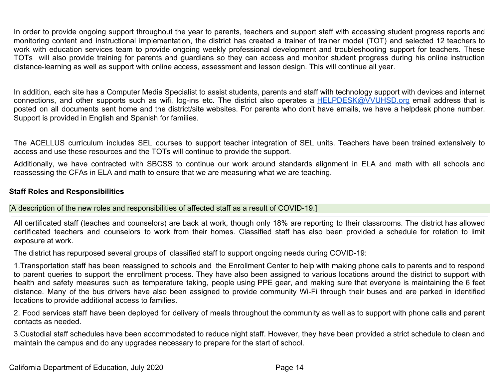In order to provide ongoing support throughout the year to parents, teachers and support staff with accessing student progress reports and monitoring content and instructional implementation, the district has created a trainer of trainer model (TOT) and selected 12 teachers to work with education services team to provide ongoing weekly professional development and troubleshooting support for teachers. These TOTs will also provide training for parents and guardians so they can access and monitor student progress during his online instruction distance-learning as well as support with online access, assessment and lesson design. This will continue all year.

In addition, each site has a Computer Media Specialist to assist students, parents and staff with technology support with devices and internet connections, and other supports such as wifi, log-ins etc. The district also operates a [HELPDESK@VVUHSD.org](mailto:HELPDESK@VVUSHSD.org) email address that is posted on all documents sent home and the district/site websites. For parents who don't have emails, we have a helpdesk phone number. Support is provided in English and Spanish for families.

The ACELLUS curriculum includes SEL courses to support teacher integration of SEL units. Teachers have been trained extensively to access and use these resources and the TOTs will continue to provide the support.

Additionally, we have contracted with SBCSS to continue our work around standards alignment in ELA and math with all schools and reassessing the CFAs in ELA and math to ensure that we are measuring what we are teaching.

### **Staff Roles and Responsibilities**

[A description of the new roles and responsibilities of affected staff as a result of COVID-19.]

All certificated staff (teaches and counselors) are back at work, though only 18% are reporting to their classrooms. The district has allowed certificated teachers and counselors to work from their homes. Classified staff has also been provided a schedule for rotation to limit exposure at work.

The district has repurposed several groups of classified staff to support ongoing needs during COVID-19:

1.Transportation staff has been reassigned to schools and the Enrollment Center to help with making phone calls to parents and to respond to parent queries to support the enrollment process. They have also been assigned to various locations around the district to support with health and safety measures such as temperature taking, people using PPE gear, and making sure that everyone is maintaining the 6 feet distance. Many of the bus drivers have also been assigned to provide community Wi-Fi through their buses and are parked in identified locations to provide additional access to families.

2. Food services staff have been deployed for delivery of meals throughout the community as well as to support with phone calls and parent contacts as needed.

3.Custodial staff schedules have been accommodated to reduce night staff. However, they have been provided a strict schedule to clean and maintain the campus and do any upgrades necessary to prepare for the start of school.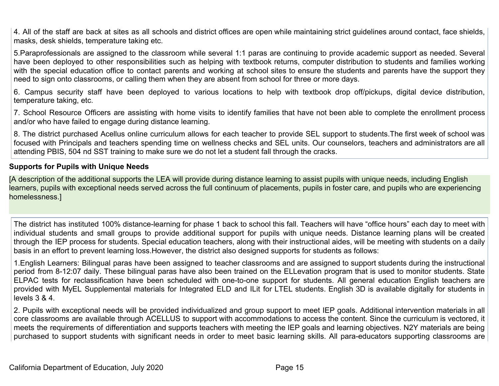4. All of the staff are back at sites as all schools and district offices are open while maintaining strict guidelines around contact, face shields, masks, desk shields, temperature taking etc.

5.Paraprofessionals are assigned to the classroom while several 1:1 paras are continuing to provide academic support as needed. Several have been deployed to other responsibilities such as helping with textbook returns, computer distribution to students and families working with the special education office to contact parents and working at school sites to ensure the students and parents have the support they need to sign onto classrooms, or calling them when they are absent from school for three or more days.

6. Campus security staff have been deployed to various locations to help with textbook drop off/pickups, digital device distribution, temperature taking, etc.

7. School Resource Officers are assisting with home visits to identify families that have not been able to complete the enrollment process and/or who have failed to engage during distance learning.

8. The district purchased Acellus online curriculum allows for each teacher to provide SEL support to students.The first week of school was focused with Principals and teachers spending time on wellness checks and SEL units. Our counselors, teachers and administrators are all attending PBIS, 504 nd SST training to make sure we do not let a student fall through the cracks.

#### **Supports for Pupils with Unique Needs**

[A description of the additional supports the LEA will provide during distance learning to assist pupils with unique needs, including English learners, pupils with exceptional needs served across the full continuum of placements, pupils in foster care, and pupils who are experiencing homelessness.]

The district has instituted 100% distance-learning for phase 1 back to school this fall. Teachers will have "office hours" each day to meet with individual students and small groups to provide additional support for pupils with unique needs. Distance learning plans will be created through the IEP process for students. Special education teachers, along with their instructional aides, will be meeting with students on a daily basis in an effort to prevent learning loss.However, the district also designed supports for students as follows:

1.English Learners: Bilingual paras have been assigned to teacher classrooms and are assigned to support students during the instructional period from 8-12:07 daily. These bilingual paras have also been trained on the ELLevation program that is used to monitor students. State ELPAC tests for reclassification have been scheduled with one-to-one support for students. All general education English teachers are provided with MyEL Supplemental materials for Integrated ELD and ILit for LTEL students. English 3D is available digitally for students in levels 3 & 4.

2. Pupils with exceptional needs will be provided individualized and group support to meet IEP goals. Additional intervention materials in all core classrooms are available through ACELLUS to support with accommodations to access the content. Since the curriculum is vectored, it meets the requirements of differentiation and supports teachers with meeting the IEP goals and learning objectives. N2Y materials are being purchased to support students with significant needs in order to meet basic learning skills. All para-educators supporting classrooms are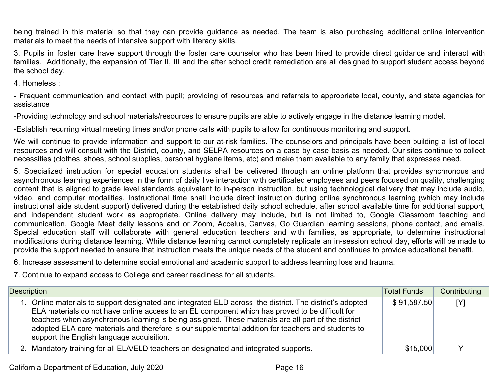being trained in this material so that they can provide guidance as needed. The team is also purchasing additional online intervention materials to meet the needs of intensive support with literacy skills.

3. Pupils in foster care have support through the foster care counselor who has been hired to provide direct guidance and interact with families. Additionally, the expansion of Tier II, III and the after school credit remediation are all designed to support student access beyond the school day.

4. Homeless :

- Frequent communication and contact with pupil; providing of resources and referrals to appropriate local, county, and state agencies for assistance

-Providing technology and school materials/resources to ensure pupils are able to actively engage in the distance learning model.

-Establish recurring virtual meeting times and/or phone calls with pupils to allow for continuous monitoring and support.

We will continue to provide information and support to our at-risk families. The counselors and principals have been building a list of local resources and will consult with the District, county, and SELPA resources on a case by case basis as needed. Our sites continue to collect necessities (clothes, shoes, school supplies, personal hygiene items, etc) and make them available to any family that expresses need.

5. Specialized instruction for special education students shall be delivered through an online platform that provides synchronous and asynchronous learning experiences in the form of daily live interaction with certificated employees and peers focused on quality, challenging content that is aligned to grade level standards equivalent to in-person instruction, but using technological delivery that may include audio, video, and computer modalities. Instructional time shall include direct instruction during online synchronous learning (which may include instructional aide student support) delivered during the established daily school schedule, after school available time for additional support, and independent student work as appropriate. Online delivery may include, but is not limited to, Google Classroom teaching and communication, Google Meet daily lessons and or Zoom, Accelus, Canvas, Go Guardian learning sessions, phone contact, and emails. Special education staff will collaborate with general education teachers and with families, as appropriate, to determine instructional modifications during distance learning. While distance learning cannot completely replicate an in-session school day, efforts will be made to provide the support needed to ensure that instruction meets the unique needs of the student and continues to provide educational benefit.

6. Increase assessment to determine social emotional and academic support to address learning loss and trauma.

7. Continue to expand access to College and career readiness for all students.

| <b>Description</b>                                                                                                                                                                                                                                                                                                                                                                                                                                                    | <b>Total Funds</b> | Contributing |
|-----------------------------------------------------------------------------------------------------------------------------------------------------------------------------------------------------------------------------------------------------------------------------------------------------------------------------------------------------------------------------------------------------------------------------------------------------------------------|--------------------|--------------|
| 1. Online materials to support designated and integrated ELD across the district. The district's adopted<br>ELA materials do not have online access to an EL component which has proved to be difficult for<br>teachers when asynchronous learning is being assigned. These materials are all part of the district<br>adopted ELA core materials and therefore is our supplemental addition for teachers and students to<br>support the English language acquisition. | \$91,587.50        | [Y]          |
| 2. Mandatory training for all ELA/ELD teachers on designated and integrated supports.                                                                                                                                                                                                                                                                                                                                                                                 | \$15,000           |              |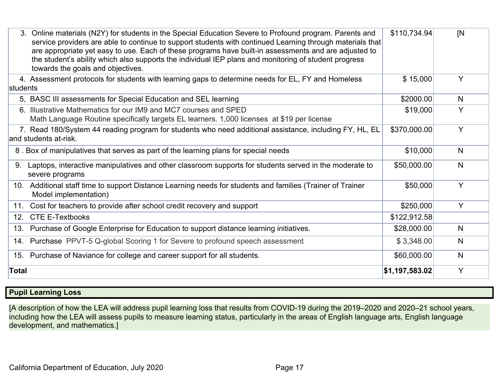|          | 3. Online materials (N2Y) for students in the Special Education Severe to Profound program. Parents and<br>service providers are able to continue to support students with continued Learning through materials that<br>are appropriate yet easy to use. Each of these programs have built-in assessments and are adjusted to<br>the student's ability which also supports the individual IEP plans and monitoring of student progress<br>towards the goals and objectives. | \$110,734.94   | ſΝ |
|----------|-----------------------------------------------------------------------------------------------------------------------------------------------------------------------------------------------------------------------------------------------------------------------------------------------------------------------------------------------------------------------------------------------------------------------------------------------------------------------------|----------------|----|
| students | 4. Assessment protocols for students with learning gaps to determine needs for EL, FY and Homeless                                                                                                                                                                                                                                                                                                                                                                          | \$15,000       | Y  |
|          | 5, BASC III assessments for Special Education and SEL learning                                                                                                                                                                                                                                                                                                                                                                                                              | \$2000.00      | N  |
|          | 6. Illustrative Mathematics for our IM9 and MC7 courses and SPED<br>Math Language Routine specifically targets EL learners. 1,000 licenses at \$19 per license                                                                                                                                                                                                                                                                                                              | \$19,000       | Y  |
|          | 7. Read 180/System 44 reading program for students who need additional assistance, including FY, HL, EL<br>and students at-risk.                                                                                                                                                                                                                                                                                                                                            | \$370,000.00   | Y  |
|          | 8. Box of manipulatives that serves as part of the learning plans for special needs                                                                                                                                                                                                                                                                                                                                                                                         | \$10,000       | N  |
|          | 9. Laptops, interactive manipulatives and other classroom supports for students served in the moderate to<br>severe programs                                                                                                                                                                                                                                                                                                                                                | \$50,000.00    | N  |
|          | 10. Additional staff time to support Distance Learning needs for students and families (Trainer of Trainer<br>Model implementation)                                                                                                                                                                                                                                                                                                                                         | \$50,000       | Y  |
|          | 11. Cost for teachers to provide after school credit recovery and support                                                                                                                                                                                                                                                                                                                                                                                                   | \$250,000      | Y  |
|          | 12. CTE E-Textbooks                                                                                                                                                                                                                                                                                                                                                                                                                                                         | \$122,912.58   |    |
| 13.      | Purchase of Google Enterprise for Education to support distance learning initiatives.                                                                                                                                                                                                                                                                                                                                                                                       | \$28,000.00    | N  |
|          | 14. Purchase PPVT-5 Q-global Scoring 1 for Severe to profound speech assessment                                                                                                                                                                                                                                                                                                                                                                                             | \$3,348.00     | N  |
| 15.      | Purchase of Naviance for college and career support for all students.                                                                                                                                                                                                                                                                                                                                                                                                       | \$60,000.00    | N  |
| Total    |                                                                                                                                                                                                                                                                                                                                                                                                                                                                             | \$1,197,583.02 | Y  |
|          |                                                                                                                                                                                                                                                                                                                                                                                                                                                                             |                |    |

# **Pupil Learning Loss**

[A description of how the LEA will address pupil learning loss that results from COVID-19 during the 2019–2020 and 2020–21 school years, including how the LEA will assess pupils to measure learning status, particularly in the areas of English language arts, English language development, and mathematics.]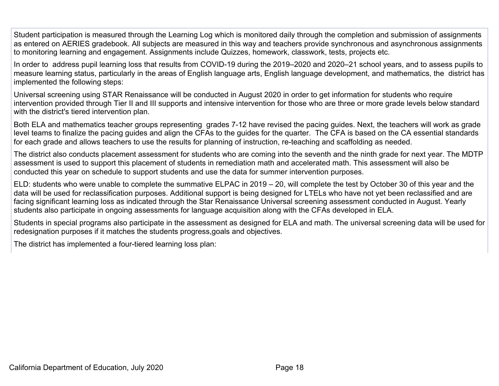Student participation is measured through the Learning Log which is monitored daily through the completion and submission of assignments as entered on AERIES gradebook. All subjects are measured in this way and teachers provide synchronous and asynchronous assignments to monitoring learning and engagement. Assignments include Quizzes, homework, classwork, tests, projects etc.

In order to address pupil learning loss that results from COVID-19 during the 2019–2020 and 2020–21 school years, and to assess pupils to measure learning status, particularly in the areas of English language arts, English language development, and mathematics, the district has implemented the following steps:

Universal screening using STAR Renaissance will be conducted in August 2020 in order to get information for students who require intervention provided through Tier II and III supports and intensive intervention for those who are three or more grade levels below standard with the district's tiered intervention plan.

Both ELA and mathematics teacher groups representing grades 7-12 have revised the pacing guides. Next, the teachers will work as grade level teams to finalize the pacing guides and align the CFAs to the guides for the quarter. The CFA is based on the CA essential standards for each grade and allows teachers to use the results for planning of instruction, re-teaching and scaffolding as needed.

The district also conducts placement assessment for students who are coming into the seventh and the ninth grade for next year. The MDTP assessment is used to support this placement of students in remediation math and accelerated math. This assessment will also be conducted this year on schedule to support students and use the data for summer intervention purposes.

ELD: students who were unable to complete the summative ELPAC in 2019 – 20, will complete the test by October 30 of this year and the data will be used for reclassification purposes. Additional support is being designed for LTELs who have not yet been reclassified and are facing significant learning loss as indicated through the Star Renaissance Universal screening assessment conducted in August. Yearly students also participate in ongoing assessments for language acquisition along with the CFAs developed in ELA.

Students in special programs also participate in the assessment as designed for ELA and math. The universal screening data will be used for redesignation purposes if it matches the students progress,goals and objectives.

The district has implemented a four-tiered learning loss plan: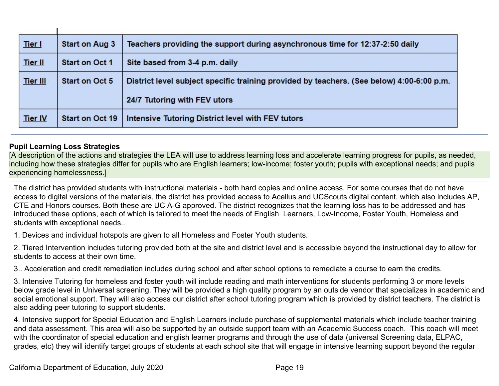| Tier I         | <b>Start on Aug 3</b> | Teachers providing the support during asynchronous time for 12:37-2:50 daily              |
|----------------|-----------------------|-------------------------------------------------------------------------------------------|
| Tier II        | <b>Start on Oct 1</b> | Site based from 3-4 p.m. daily                                                            |
| Tier III       | Start on Oct 5        | District level subject specific training provided by teachers. (See below) 4:00-6:00 p.m. |
|                |                       | 24/7 Tutoring with FEV utors                                                              |
| <b>Tier IV</b> | Start on Oct 19       | Intensive Tutoring District level with FEV tutors                                         |

# **Pupil Learning Loss Strategies**

[A description of the actions and strategies the LEA will use to address learning loss and accelerate learning progress for pupils, as needed, including how these strategies differ for pupils who are English learners; low-income; foster youth; pupils with exceptional needs; and pupils experiencing homelessness.]

The district has provided students with instructional materials - both hard copies and online access. For some courses that do not have access to digital versions of the materials, the district has provided access to Acellus and UCScouts digital content, which also includes AP, CTE and Honors courses. Both these are UC A-G approved. The district recognizes that the learning loss has to be addressed and has introduced these options, each of which is tailored to meet the needs of English Learners, Low-Income, Foster Youth, Homeless and students with exceptional needs..

1. Devices and individual hotspots are given to all Homeless and Foster Youth students.

2. Tiered Intervention includes tutoring provided both at the site and district level and is accessible beyond the instructional day to allow for students to access at their own time.

3.. Acceleration and credit remediation includes during school and after school options to remediate a course to earn the credits.

3. Intensive Tutoring for homeless and foster youth will include reading and math interventions for students performing 3 or more levels below grade level in Universal screening. They will be provided a high quality program by an outside vendor that specializes in academic and social emotional support. They will also access our district after school tutoring program which is provided by district teachers. The district is also adding peer tutoring to support students.

4. Intensive support for Special Education and English Learners include purchase of supplemental materials which include teacher training and data assessment. This area will also be supported by an outside support team with an Academic Success coach. This coach will meet with the coordinator of special education and english learner programs and through the use of data (universal Screening data, ELPAC, grades, etc) they will identify target groups of students at each school site that will engage in intensive learning support beyond the regular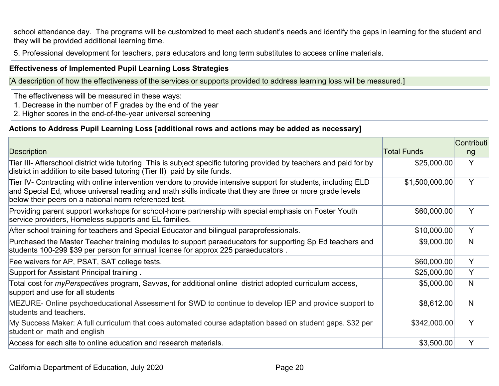school attendance day. The programs will be customized to meet each student's needs and identify the gaps in learning for the student and they will be provided additional learning time.

5. Professional development for teachers, para educators and long term substitutes to access online materials.

### **Effectiveness of Implemented Pupil Learning Loss Strategies**

[A description of how the effectiveness of the services or supports provided to address learning loss will be measured.]

The effectiveness will be measured in these ways:

1. Decrease in the number of F grades by the end of the year

2. Higher scores in the end-of-the-year universal screening

## **Actions to Address Pupil Learning Loss [additional rows and actions may be added as necessary]**

|                                                                                                                                                                                                                                                                                      |                    | Contributi |
|--------------------------------------------------------------------------------------------------------------------------------------------------------------------------------------------------------------------------------------------------------------------------------------|--------------------|------------|
| <b>Description</b>                                                                                                                                                                                                                                                                   | <b>Total Funds</b> | ng         |
| Tier III- Afterschool district wide tutoring This is subject specific tutoring provided by teachers and paid for by<br>district in addition to site based tutoring (Tier II) paid by site funds.                                                                                     | \$25,000.00        | Y          |
| Tier IV- Contracting with online intervention vendors to provide intensive support for students, including ELD<br>and Special Ed, whose universal reading and math skills indicate that they are three or more grade levels<br>below their peers on a national norm referenced test. | \$1,500,000.00     | Y          |
| Providing parent support workshops for school-home partnership with special emphasis on Foster Youth<br>service providers, Homeless supports and EL families.                                                                                                                        | \$60,000.00        | Y          |
| After school training for teachers and Special Educator and bilingual paraprofessionals.                                                                                                                                                                                             | \$10,000.00        | Y          |
| Purchased the Master Teacher training modules to support paraeducators for supporting Sp Ed teachers and<br>students 100-299 \$39 per person for annual license for approx 225 paraeducators.                                                                                        | \$9,000.00         | N          |
| Fee waivers for AP, PSAT, SAT college tests.                                                                                                                                                                                                                                         | \$60,000.00        | Y          |
| Support for Assistant Principal training.                                                                                                                                                                                                                                            | \$25,000.00        | Y          |
| Total cost for <i>myPerspectives</i> program, Savvas, for additional online district adopted curriculum access,<br>support and use for all students                                                                                                                                  | \$5,000.00         | N          |
| MEZURE- Online psychoeducational Assessment for SWD to continue to develop IEP and provide support to<br>students and teachers.                                                                                                                                                      | \$8,612.00         | N          |
| My Success Maker: A full curriculum that does automated course adaptation based on student gaps. \$32 per<br>student or math and english                                                                                                                                             | \$342,000.00       | Y          |
| Access for each site to online education and research materials.                                                                                                                                                                                                                     | \$3,500.00         | Y          |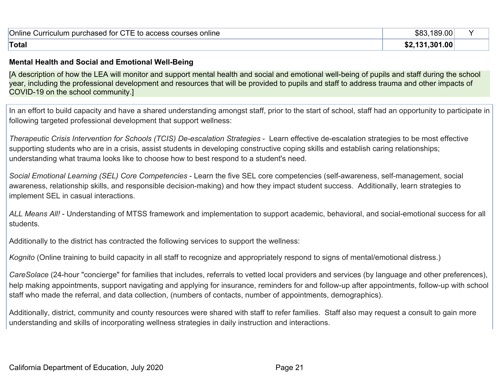| $\sim$ ed for C $^{\sf TT}$<br>Online<br>courses online<br>purchased<br>access<br><b>Curriculum</b><br>- 10 | 189.00<br>\$83<br>.uu       |  |
|-------------------------------------------------------------------------------------------------------------|-----------------------------|--|
| Total                                                                                                       | .301.00<br>φŋ<br>- י<br>₽Ł. |  |

#### **Mental Health and Social and Emotional Well-Being**

[A description of how the LEA will monitor and support mental health and social and emotional well-being of pupils and staff during the school year, including the professional development and resources that will be provided to pupils and staff to address trauma and other impacts of COVID-19 on the school community.]

In an effort to build capacity and have a shared understanding amongst staff, prior to the start of school, staff had an opportunity to participate in following targeted professional development that support wellness:

*Therapeutic Crisis Intervention for Schools (TCIS) De-escalation Strategies* - Learn effective de-escalation strategies to be most effective supporting students who are in a crisis, assist students in developing constructive coping skills and establish caring relationships; understanding what trauma looks like to choose how to best respond to a student's need.

*Social Emotional Learning (SEL) Core Competencies* - Learn the five SEL core competencies (self-awareness, self-management, social awareness, relationship skills, and responsible decision-making) and how they impact student success. Additionally, learn strategies to implement SEL in casual interactions.

*ALL Means All!* - Understanding of MTSS framework and implementation to support academic, behavioral, and social-emotional success for all students.

Additionally to the district has contracted the following services to support the wellness:

*Kognito* (Online training to build capacity in all staff to recognize and appropriately respond to signs of mental/emotional distress.)

*CareSolace* (24-hour "concierge" for families that includes, referrals to vetted local providers and services (by language and other preferences), help making appointments, support navigating and applying for insurance, reminders for and follow-up after appointments, follow-up with school staff who made the referral, and data collection, (numbers of contacts, number of appointments, demographics).

Additionally, district, community and county resources were shared with staff to refer families. Staff also may request a consult to gain more understanding and skills of incorporating wellness strategies in daily instruction and interactions.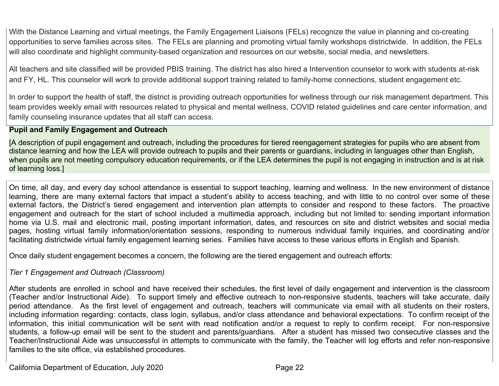With the Distance Learning and virtual meetings, the Family Engagement Liaisons (FELs) recognize the value in planning and co-creating opportunities to serve families across sites. The FELs are planning and promoting virtual family workshops districtwide. In addition, the FELs will also coordinate and highlight community-based organization and resources on our website, social media, and newsletters.

All teachers and site classified will be provided PBIS training. The district has also hired a Intervention counselor to work with students at-risk and FY, HL. This counselor will work to provide additional support training related to family-home connections, student engagement etc.

In order to support the health of staff, the district is providing outreach opportunities for wellness through our risk management department. This team provides weekly email with resources related to physical and mental wellness, COVID related guidelines and care center information, and family counseling insurance updates that all staff can access.

## **Pupil and Family Engagement and Outreach**

[A description of pupil engagement and outreach, including the procedures for tiered reengagement strategies for pupils who are absent from distance learning and how the LEA will provide outreach to pupils and their parents or guardians, including in languages other than English, when pupils are not meeting compulsory education requirements, or if the LEA determines the pupil is not engaging in instruction and is at risk of learning loss.]

On time, all day, and every day school attendance is essential to support teaching, learning and wellness. In the new environment of distance learning, there are many external factors that impact a student's ability to access teaching, and with little to no control over some of these external factors, the District's tiered engagement and intervention plan attempts to consider and respond to these factors. The proactive engagement and outreach for the start of school included a multimedia approach, including but not limited to: sending important information home via U.S. mail and electronic mail, posting important information, dates, and resources on site and district websites and social media pages, hosting virtual family information/orientation sessions, responding to numerous individual family inquiries, and coordinating and/or facilitating districtwide virtual family engagement learning series. Families have access to these various efforts in English and Spanish.

Once daily student engagement becomes a concern, the following are the tiered engagement and outreach efforts:

### *Tier 1 Engagement and Outreach (Classroom)*

After students are enrolled in school and have received their schedules, the first level of daily engagement and intervention is the classroom (Teacher and/or Instructional Aide). To support timely and effective outreach to non-responsive students, teachers will take accurate, daily period attendance. As the first level of engagement and outreach, teachers will communicate via email with all students on their rosters, including information regarding: contacts, class login, syllabus, and/or class attendance and behavioral expectations. To confirm receipt of the information, this initial communication will be sent with read notification and/or a request to reply to confirm receipt. For non-responsive students, a follow-up email will be sent to the student and parents/guardians. After a student has missed two consecutive classes and the Teacher/Instructional Aide was unsuccessful in attempts to communicate with the family, the Teacher will log efforts and refer non-responsive families to the site office, via established procedures.

California Department of Education, July 2020 Page 22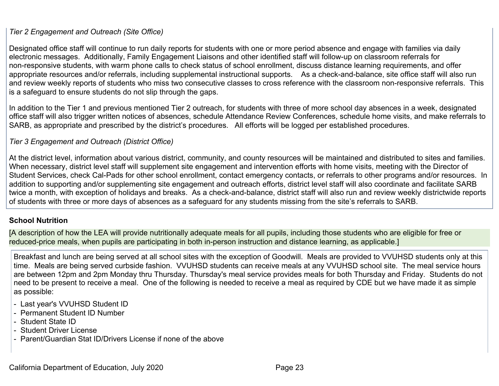## *Tier 2 Engagement and Outreach (Site Office)*

Designated office staff will continue to run daily reports for students with one or more period absence and engage with families via daily electronic messages. Additionally, Family Engagement Liaisons and other identified staff will follow-up on classroom referrals for non-responsive students, with warm phone calls to check status of school enrollment, discuss distance learning requirements, and offer appropriate resources and/or referrals, including supplemental instructional supports. As a check-and-balance, site office staff will also run and review weekly reports of students who miss two consecutive classes to cross reference with the classroom non-responsive referrals. This is a safeguard to ensure students do not slip through the gaps.

In addition to the Tier 1 and previous mentioned Tier 2 outreach, for students with three of more school day absences in a week, designated office staff will also trigger written notices of absences, schedule Attendance Review Conferences, schedule home visits, and make referrals to SARB, as appropriate and prescribed by the district's procedures. All efforts will be logged per established procedures.

## *Tier 3 Engagement and Outreach (District Office)*

At the district level, information about various district, community, and county resources will be maintained and distributed to sites and families. When necessary, district level staff will supplement site engagement and intervention efforts with home visits, meeting with the Director of Student Services, check Cal-Pads for other school enrollment, contact emergency contacts, or referrals to other programs and/or resources. In addition to supporting and/or supplementing site engagement and outreach efforts, district level staff will also coordinate and facilitate SARB twice a month, with exception of holidays and breaks. As a check-and-balance, district staff will also run and review weekly districtwide reports of students with three or more days of absences as a safeguard for any students missing from the site's referrals to SARB.

## **School Nutrition**

[A description of how the LEA will provide nutritionally adequate meals for all pupils, including those students who are eligible for free or reduced-price meals, when pupils are participating in both in-person instruction and distance learning, as applicable.]

Breakfast and lunch are being served at all school sites with the exception of Goodwill. Meals are provided to VVUHSD students only at this time. Meals are being served curbside fashion. VVUHSD students can receive meals at any VVUHSD school site. The meal service hours are between 12pm and 2pm Monday thru Thursday. Thursday's meal service provides meals for both Thursday and Friday. Students do not need to be present to receive a meal. One of the following is needed to receive a meal as required by CDE but we have made it as simple as possible:

- Last year's VVUHSD Student ID
- Permanent Student ID Number
- Student State ID
- Student Driver License
- Parent/Guardian Stat ID/Drivers License if none of the above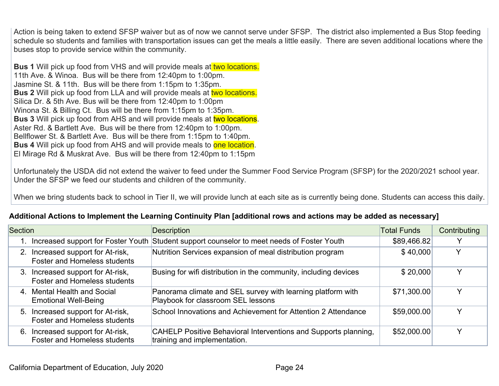Action is being taken to extend SFSP waiver but as of now we cannot serve under SFSP. The district also implemented a Bus Stop feeding schedule so students and families with transportation issues can get the meals a little easily. There are seven additional locations where the buses stop to provide service within the community.

**Bus 1** Will pick up food from VHS and will provide meals at two locations. 11th Ave. & Winoa. Bus will be there from 12:40pm to 1:00pm. Jasmine St. & 11th. Bus will be there from 1:15pm to 1:35pm. **Bus 2** Will pick up food from LLA and will provide meals at two locations. Silica Dr. & 5th Ave. Bus will be there from 12:40pm to 1:00pm Winona St. & Billing Ct. Bus will be there from 1:15pm to 1:35pm. **Bus 3** Will pick up food from AHS and will provide meals at two locations. Aster Rd. & Bartlett Ave. Bus will be there from 12:40pm to 1:00pm. Bellflower St. & Bartlett Ave. Bus will be there from 1:15pm to 1:40pm. **Bus 4** Will pick up food from AHS and will provide meals to one location. El Mirage Rd & Muskrat Ave. Bus will be there from 12:40pm to 1:15pm

Unfortunately the USDA did not extend the waiver to feed under the Summer Food Service Program (SFSP) for the 2020/2021 school year. Under the SFSP we feed our students and children of the community.

When we bring students back to school in Tier II, we will provide lunch at each site as is currently being done. Students can access this daily.

|  |  | Additional Actions to Implement the Learning Continuity Plan [additional rows and actions may be added as necessary] |
|--|--|----------------------------------------------------------------------------------------------------------------------|
|--|--|----------------------------------------------------------------------------------------------------------------------|

| <b>Section</b>                                                           | <b>Description</b>                                                                                | <b>Total Funds</b> | Contributing |
|--------------------------------------------------------------------------|---------------------------------------------------------------------------------------------------|--------------------|--------------|
| Increased support for Foster Youth                                       | Student support counselor to meet needs of Foster Youth                                           | \$89,466.82        | Y            |
| 2. Increased support for At-risk,<br><b>Foster and Homeless students</b> | Nutrition Services expansion of meal distribution program                                         | \$40,000           |              |
| 3. Increased support for At-risk,<br><b>Foster and Homeless students</b> | Busing for wifi distribution in the community, including devices                                  | \$20,000           | ∨            |
| 4. Mental Health and Social<br><b>Emotional Well-Being</b>               | Panorama climate and SEL survey with learning platform with<br>Playbook for classroom SEL lessons | \$71,300.00        | $\checkmark$ |
| 5. Increased support for At-risk,<br><b>Foster and Homeless students</b> | School Innovations and Achievement for Attention 2 Attendance                                     | \$59,000.00        | $\checkmark$ |
| 6. Increased support for At-risk,<br><b>Foster and Homeless students</b> | CAHELP Positive Behavioral Interventions and Supports planning,<br>training and implementation.   | \$52,000.00        | ∨            |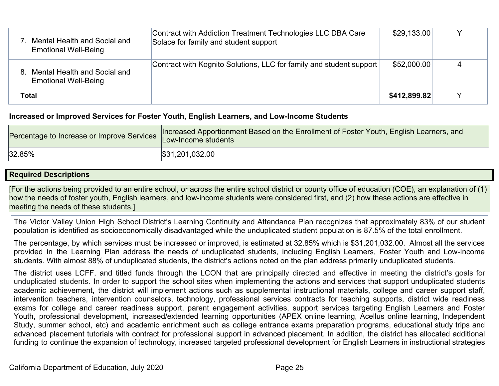| Mental Health and Social and<br><b>Emotional Well-Being</b>      | Contract with Addiction Treatment Technologies LLC DBA Care<br>Solace for family and student support | \$29,133.00  | v |
|------------------------------------------------------------------|------------------------------------------------------------------------------------------------------|--------------|---|
| Mental Health and Social and<br>8<br><b>Emotional Well-Being</b> | Contract with Kognito Solutions, LLC for family and student support                                  | \$52,000.00  | 4 |
| <b>Total</b>                                                     |                                                                                                      | \$412,899.82 | v |

### **Increased or Improved Services for Foster Youth, English Learners, and Low-Income Students**

| Percentage to Increase or Improve Services | Increased Apportionment Based on the Enrollment of Foster Youth, English Learners, and<br>Low-Income students |
|--------------------------------------------|---------------------------------------------------------------------------------------------------------------|
| 32.85%                                     | \$31,201,032.00                                                                                               |

## **Required Descriptions**

[For the actions being provided to an entire school, or across the entire school district or county office of education (COE), an explanation of (1) how the needs of foster youth, English learners, and low-income students were considered first, and (2) how these actions are effective in meeting the needs of these students.]

The Victor Valley Union High School District's Learning Continuity and Attendance Plan recognizes that approximately 83% of our student population is identified as socioeconomically disadvantaged while the unduplicated student population is 87.5% of the total enrollment.

The percentage, by which services must be increased or improved, is estimated at 32.85% which is \$31,201,032.00. Almost all the services provided in the Learning Plan address the needs of unduplicated students, including English Learners, Foster Youth and Low-Income students. With almost 88% of unduplicated students, the district's actions noted on the plan address primarily unduplicated students.

The district uses LCFF, and titled funds through the LCON that are principally directed and effective in meeting the district's goals for unduplicated students. In order to support the school sites when implementing the actions and services that support unduplicated students academic achievement, the district will implement actions such as supplemental instructional materials, college and career support staff, intervention teachers, intervention counselors, technology, professional services contracts for teaching supports, district wide readiness exams for college and career readiness support, parent engagement activities, support services targeting English Learners and Foster Youth, professional development, increased/extended learning opportunities (APEX online learning, Acellus online learning, Independent Study, summer school, etc) and academic enrichment such as college entrance exams preparation programs, educational study trips and advanced placement tutorials with contract for professional support in advanced placement. In addition, the district has allocated additional funding to continue the expansion of technology, increased targeted professional development for English Learners in instructional strategies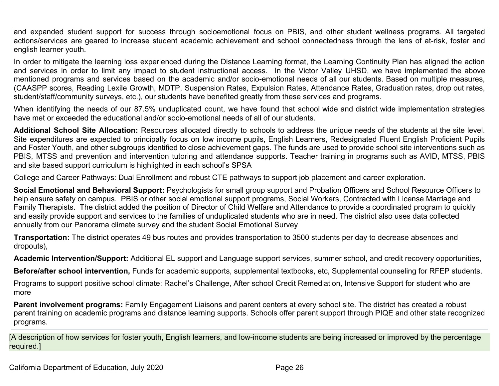and expanded student support for success through socioemotional focus on PBIS, and other student wellness programs. All targeted actions/services are geared to increase student academic achievement and school connectedness through the lens of at-risk, foster and english learner youth.

In order to mitigate the learning loss experienced during the Distance Learning format, the Learning Continuity Plan has aligned the action and services in order to limit any impact to student instructional access. In the Victor Valley UHSD, we have implemented the above mentioned programs and services based on the academic and/or socio-emotional needs of all our students. Based on multiple measures, (CAASPP scores, Reading Lexile Growth, MDTP, Suspension Rates, Expulsion Rates, Attendance Rates, Graduation rates, drop out rates, student/staff/community surveys, etc.), our students have benefited greatly from these services and programs.

When identifying the needs of our 87.5% unduplicated count, we have found that school wide and district wide implementation strategies have met or exceeded the educational and/or socio-emotional needs of all of our students.

**Additional School Site Allocation:** Resources allocated directly to schools to address the unique needs of the students at the site level. Site expenditures are expected to principally focus on low income pupils, English Learners, Redesignated Fluent English Proficient Pupils and Foster Youth, and other subgroups identified to close achievement gaps. The funds are used to provide school site interventions such as PBIS, MTSS and prevention and intervention tutoring and attendance supports. Teacher training in programs such as AVID, MTSS, PBIS and site based support curriculum is highlighted in each school's SPSA

College and Career Pathways: Dual Enrollment and robust CTE pathways to support job placement and career exploration.

**Social Emotional and Behavioral Support:** Psychologists for small group support and Probation Officers and School Resource Officers to help ensure safety on campus. PBIS or other social emotional support programs, Social Workers, Contracted with License Marriage and Family Therapists. The district added the position of Director of Child Welfare and Attendance to provide a coordinated program to quickly and easily provide support and services to the families of unduplicated students who are in need. The district also uses data collected annually from our Panorama climate survey and the student Social Emotional Survey

**Transportation:** The district operates 49 bus routes and provides transportation to 3500 students per day to decrease absences and dropouts),

**Academic Intervention/Support:** Additional EL support and Language support services, summer school, and credit recovery opportunities,

**Before/after school intervention,** Funds for academic supports, supplemental textbooks, etc, Supplemental counseling for RFEP students.

Programs to support positive school climate: Rachel's Challenge, After school Credit Remediation, Intensive Support for student who are more

**Parent involvement programs:** Family Engagement Liaisons and parent centers at every school site. The district has created a robust parent training on academic programs and distance learning supports. Schools offer parent support through PIQE and other state recognized programs.

[A description of how services for foster youth, English learners, and low-income students are being increased or improved by the percentage required.]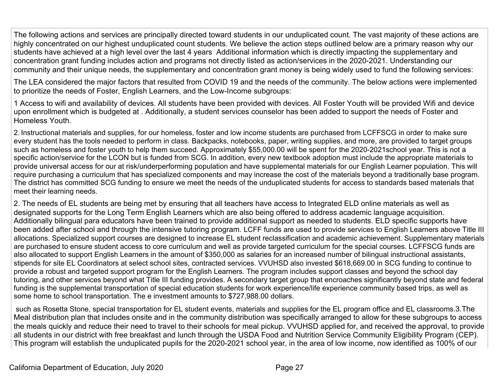The following actions and services are principally directed toward students in our unduplicated count. The vast majority of these actions are highly concentrated on our highest unduplicated count students. We believe the action steps outlined below are a primary reason why our students have achieved at a high level over the last 4 years Additional information which is directly impacting the supplementary and concentration grant funding includes action and programs not directly listed as action/services in the 2020-2021. Understanding our community and their unique needs, the supplementary and concentration grant money is being widely used to fund the following services:

The LEA considered the major factors that resulted from COVID 19 and the needs of the community. The below actions were implemented to prioritize the needs of Foster, English Learners, and the Low-Income subgroups:

1 Access to wifi and availability of devices. All students have been provided with devices. All Foster Youth will be provided Wifi and device upon enrollment which is budgeted at . Additionally, a student services counselor has been added to support the needs of Foster and Homeless Youth.

2. Instructional materials and supplies, for our homeless, foster and low income students are purchased from LCFFSCG in order to make sure every student has the tools needed to perform in class. Backpacks, notebooks, paper, writing supplies, and more, are provided to target groups such as homeless and foster youth to help them succeed. Approximately \$55,000.00 will be spent for the 2020-2021school year. This is not a specific action/service for the LCON but is funded from SCG. In addition, every new textbook adoption must include the appropriate materials to provide universal access for our at risk/underperforming population and have supplemental materials for our English Learner population. This will require purchasing a curriculum that has specialized components and may increase the cost of the materials beyond a traditionally base program. The district has committed SCG funding to ensure we meet the needs of the unduplicated students for access to standards based materials that meet their learning needs.

2. The needs of EL students are being met by ensuring that all teachers have access to Integrated ELD online materials as well as designated supports for the Long Term English Learners which are also being offered to address academic language acquisition. Additionally bilingual para educators have been trained to provide additional support as needed to students. ELD specific supports have been added after school and through the intensive tutoring program. LCFF funds are used to provide services to English Learners above Title III allocations. Specialized support courses are designed to increase EL student reclassification and academic achievement. Supplementary materials are purchased to ensure student access to core curriculum and well as provide targeted curriculum for the special courses. LCFFSCG funds are also allocated to support English Learners in the amount of \$350,000 as salaries for an increased number of bilingual instructional assistants, stipends for site EL Coordinators at select school sites, contracted services. VVUHSD also invested \$618,669.00 in SCG funding to continue to provide a robust and targeted support program for the English Learners. The program includes support classes and beyond the school day tutoring, and other services beyond what Title III funding provides. A secondary target group that encroaches significantly beyond state and federal funding is the supplemental transportation of special education students for work experience/life experience community based trips, as well as some home to school transportation. The e investment amounts to \$727,988.00 dollars.

such as Rosetta Stone, special transportation for EL student events, materials and supplies for the EL program office and EL classrooms.3.The Meal distribution plan that includes onsite and in the community distribution was specifically arranged to allow for these subgroups to access the meals quickly and reduce their need to travel to their schools for meal pickup. VVUHSD applied for, and received the approval, to provide all students in our district with free breakfast and lunch through the USDA Food and Nutrition Service Community Eligibility Program (CEP). This program will establish the unduplicated pupils for the 2020-2021 school year, in the area of low income, now identified as 100% of our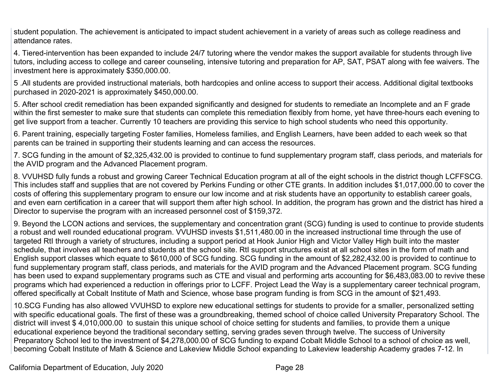student population. The achievement is anticipated to impact student achievement in a variety of areas such as college readiness and attendance rates.

4. Tiered-intervention has been expanded to include 24/7 tutoring where the vendor makes the support available for students through live tutors, including access to college and career counseling, intensive tutoring and preparation for AP, SAT, PSAT along with fee waivers. The investment here is approximately \$350,000.00.

5 .All students are provided instructional materials, both hardcopies and online access to support their access. Additional digital textbooks purchased in 2020-2021 is approximately \$450,000.00.

5. After school credit remediation has been expanded significantly and designed for students to remediate an Incomplete and an F grade within the first semester to make sure that students can complete this remediation flexibly from home, yet have three-hours each evening to get live support from a teacher. Currently 10 teachers are providing this service to high school students who need this opportunity.

6. Parent training, especially targeting Foster families, Homeless families, and English Learners, have been added to each week so that parents can be trained in supporting their students learning and can access the resources.

7. SCG funding in the amount of \$2,325,432.00 is provided to continue to fund supplementary program staff, class periods, and materials for the AVID program and the Advanced Placement program.

8. VVUHSD fully funds a robust and growing Career Technical Education program at all of the eight schools in the district though LCFFSCG. This includes staff and supplies that are not covered by Perkins Funding or other CTE grants. In addition includes \$1,017,000.00 to cover the costs of offering this supplementary program to ensure our low income and at risk students have an opportunity to establish career goals, and even earn certification in a career that will support them after high school. In addition, the program has grown and the district has hired a Director to supervise the program with an increased personnel cost of \$159,372.

9. Beyond the LCON actions and services, the supplementary and concentration grant (SCG) funding is used to continue to provide students a robust and well rounded educational program. VVUHSD invests \$1,511,480.00 in the increased instructional time through the use of targeted RtI through a variety of structures, including a support period at Hook Junior High and Victor Valley High built into the master schedule, that involves all teachers and students at the school site. RtI support structures exist at all school sites in the form of math and English support classes which equate to \$610,000 of SCG funding. SCG funding in the amount of \$2,282,432.00 is provided to continue to fund supplementary program staff, class periods, and materials for the AVID program and the Advanced Placement program. SCG funding has been used to expand supplementary programs such as CTE and visual and performing arts accounting for \$6,483,083.00 to revive these programs which had experienced a reduction in offerings prior to LCFF. Project Lead the Way is a supplementary career technical program, offered specifically at Cobalt Institute of Math and Science, whose base program funding is from SCG in the amount of \$21,493.

10.SCG Funding has also allowed VVUHSD to explore new educational settings for students to provide for a smaller, personalized setting with specific educational goals. The first of these was a groundbreaking, themed school of choice called University Preparatory School. The district will invest \$ 4,010,000.00 to sustain this unique school of choice setting for students and families, to provide them a unique educational experience beyond the traditional secondary setting, serving grades seven through twelve. The success of University Preparatory School led to the investment of \$4,278,000.00 of SCG funding to expand Cobalt Middle School to a school of choice as well, becoming Cobalt Institute of Math & Science and Lakeview Middle School expanding to Lakeview leadership Academy grades 7-12. In